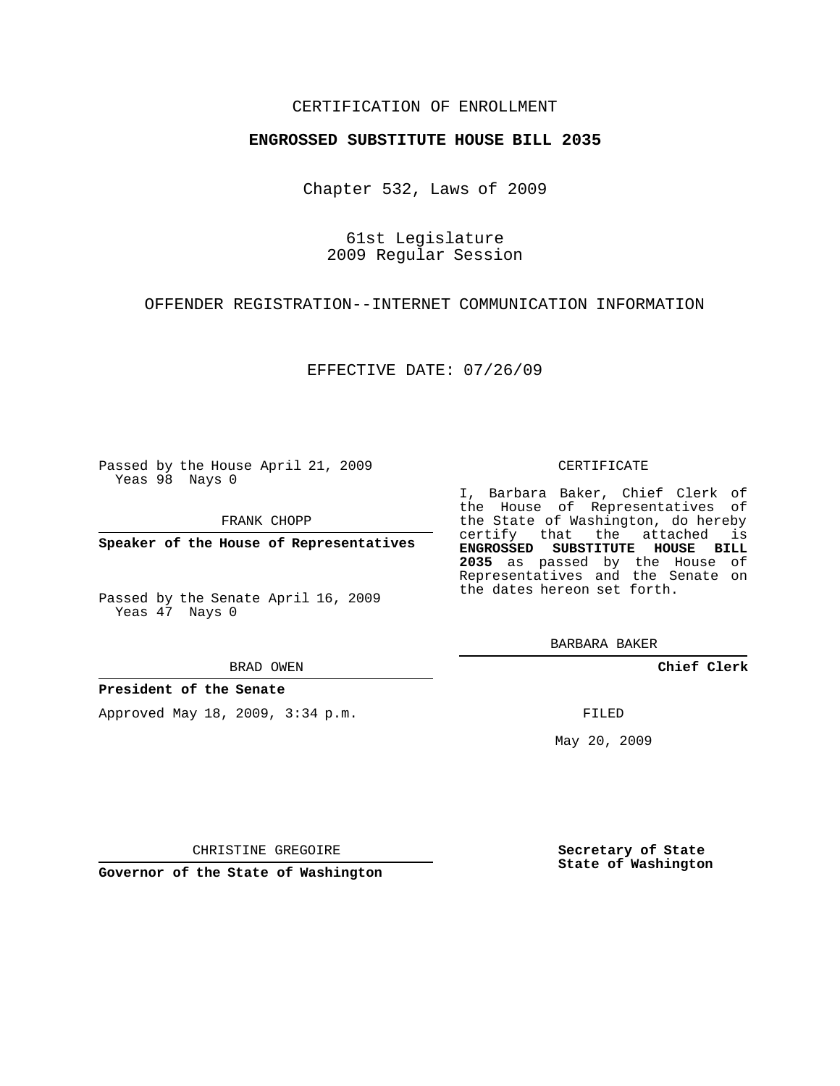# CERTIFICATION OF ENROLLMENT

## **ENGROSSED SUBSTITUTE HOUSE BILL 2035**

Chapter 532, Laws of 2009

61st Legislature 2009 Regular Session

OFFENDER REGISTRATION--INTERNET COMMUNICATION INFORMATION

EFFECTIVE DATE: 07/26/09

Passed by the House April 21, 2009 Yeas 98 Nays 0

FRANK CHOPP

**Speaker of the House of Representatives**

Passed by the Senate April 16, 2009 Yeas 47 Nays 0

#### BRAD OWEN

## **President of the Senate**

Approved May 18, 2009, 3:34 p.m.

#### CERTIFICATE

I, Barbara Baker, Chief Clerk of the House of Representatives of the State of Washington, do hereby certify that the attached is **ENGROSSED SUBSTITUTE HOUSE BILL 2035** as passed by the House of Representatives and the Senate on the dates hereon set forth.

BARBARA BAKER

**Chief Clerk**

FILED

May 20, 2009

**Secretary of State State of Washington**

CHRISTINE GREGOIRE

**Governor of the State of Washington**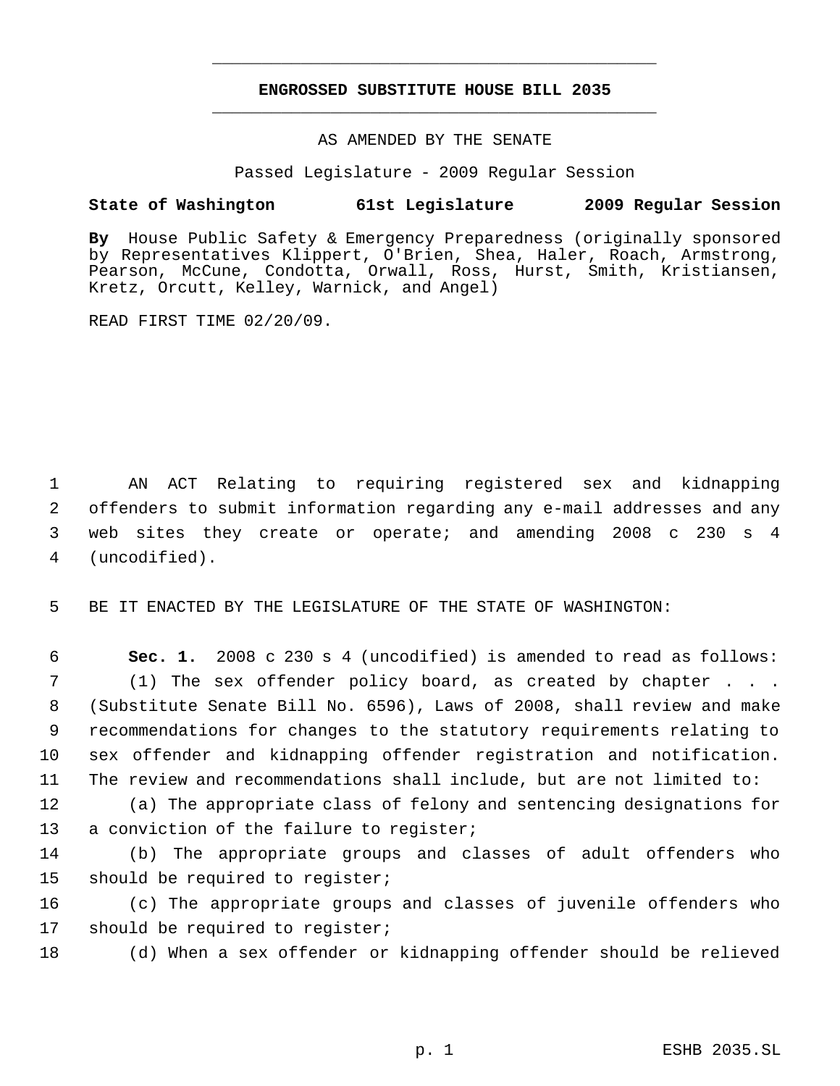# **ENGROSSED SUBSTITUTE HOUSE BILL 2035** \_\_\_\_\_\_\_\_\_\_\_\_\_\_\_\_\_\_\_\_\_\_\_\_\_\_\_\_\_\_\_\_\_\_\_\_\_\_\_\_\_\_\_\_\_

\_\_\_\_\_\_\_\_\_\_\_\_\_\_\_\_\_\_\_\_\_\_\_\_\_\_\_\_\_\_\_\_\_\_\_\_\_\_\_\_\_\_\_\_\_

## AS AMENDED BY THE SENATE

Passed Legislature - 2009 Regular Session

## **State of Washington 61st Legislature 2009 Regular Session**

**By** House Public Safety & Emergency Preparedness (originally sponsored by Representatives Klippert, O'Brien, Shea, Haler, Roach, Armstrong, Pearson, McCune, Condotta, Orwall, Ross, Hurst, Smith, Kristiansen, Kretz, Orcutt, Kelley, Warnick, and Angel)

READ FIRST TIME 02/20/09.

 AN ACT Relating to requiring registered sex and kidnapping offenders to submit information regarding any e-mail addresses and any web sites they create or operate; and amending 2008 c 230 s 4 (uncodified).

5 BE IT ENACTED BY THE LEGISLATURE OF THE STATE OF WASHINGTON:

 **Sec. 1.** 2008 c 230 s 4 (uncodified) is amended to read as follows: (1) The sex offender policy board, as created by chapter . . . (Substitute Senate Bill No. 6596), Laws of 2008, shall review and make recommendations for changes to the statutory requirements relating to sex offender and kidnapping offender registration and notification. The review and recommendations shall include, but are not limited to:

12 (a) The appropriate class of felony and sentencing designations for 13 a conviction of the failure to register;

14 (b) The appropriate groups and classes of adult offenders who 15 should be required to register;

16 (c) The appropriate groups and classes of juvenile offenders who 17 should be required to register;

18 (d) When a sex offender or kidnapping offender should be relieved